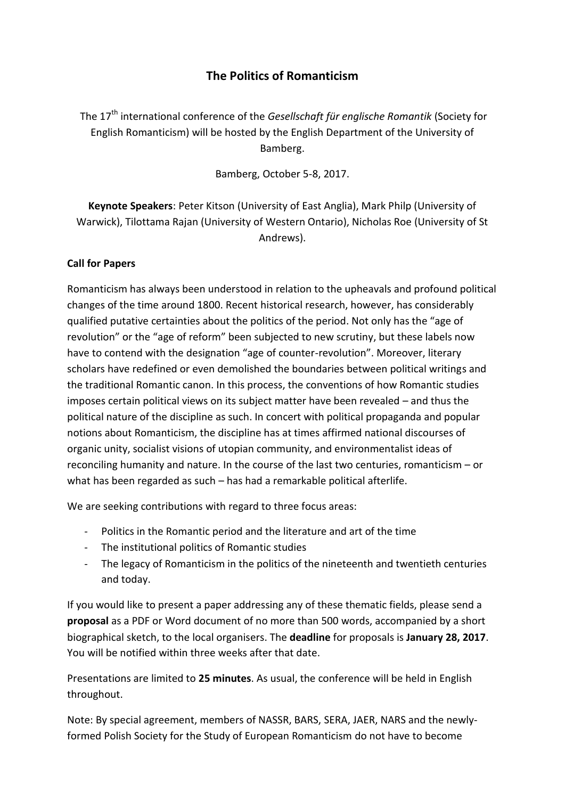## **The Politics of Romanticism**

The 17th international conference of the *Gesellschaft für englische Romantik* (Society for English Romanticism) will be hosted by the English Department of the University of Bamberg.

Bamberg, October 5-8, 2017.

**Keynote Speakers**: Peter Kitson (University of East Anglia), Mark Philp (University of Warwick), Tilottama Rajan (University of Western Ontario), Nicholas Roe (University of St Andrews).

## **Call for Papers**

Romanticism has always been understood in relation to the upheavals and profound political changes of the time around 1800. Recent historical research, however, has considerably qualified putative certainties about the politics of the period. Not only has the "age of revolution" or the "age of reform" been subjected to new scrutiny, but these labels now have to contend with the designation "age of counter-revolution". Moreover, literary scholars have redefined or even demolished the boundaries between political writings and the traditional Romantic canon. In this process, the conventions of how Romantic studies imposes certain political views on its subject matter have been revealed – and thus the political nature of the discipline as such. In concert with political propaganda and popular notions about Romanticism, the discipline has at times affirmed national discourses of organic unity, socialist visions of utopian community, and environmentalist ideas of reconciling humanity and nature. In the course of the last two centuries, romanticism – or what has been regarded as such – has had a remarkable political afterlife.

We are seeking contributions with regard to three focus areas:

- Politics in the Romantic period and the literature and art of the time
- The institutional politics of Romantic studies
- The legacy of Romanticism in the politics of the nineteenth and twentieth centuries and today.

If you would like to present a paper addressing any of these thematic fields, please send a **proposal** as a PDF or Word document of no more than 500 words, accompanied by a short biographical sketch, to the local organisers. The **deadline** for proposals is **January 28, 2017**. You will be notified within three weeks after that date.

Presentations are limited to **25 minutes**. As usual, the conference will be held in English throughout.

Note: By special agreement, members of NASSR, BARS, SERA, JAER, NARS and the newlyformed Polish Society for the Study of European Romanticism do not have to become